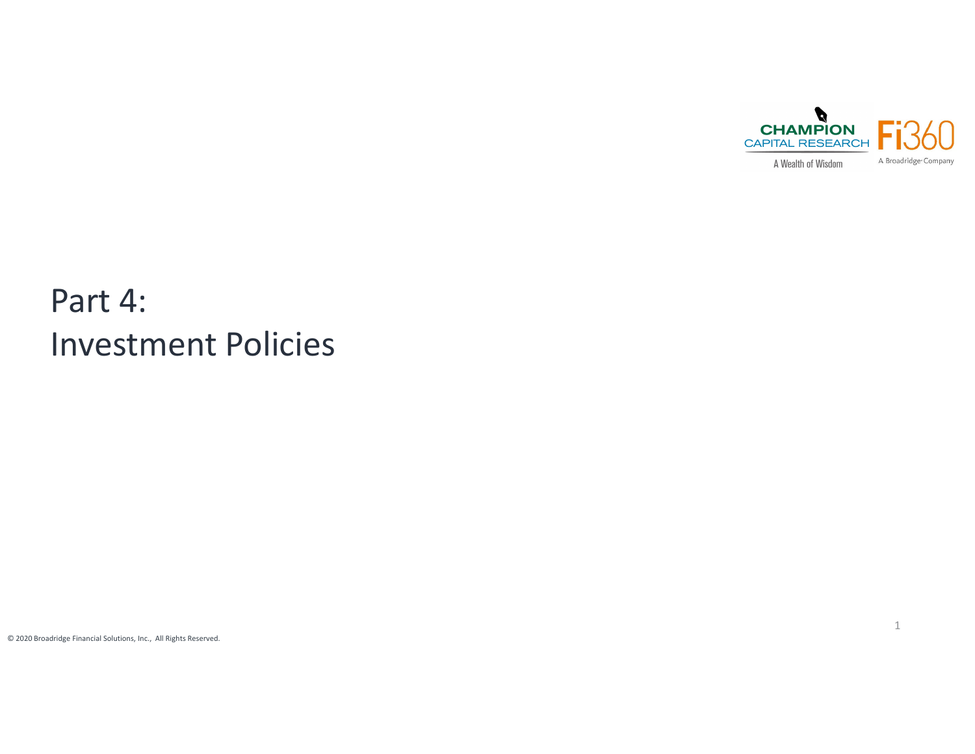

# Part 4: Investment Policies

© 2020 Broadridge Financial Solutions, Inc., All Rights Reserved.

1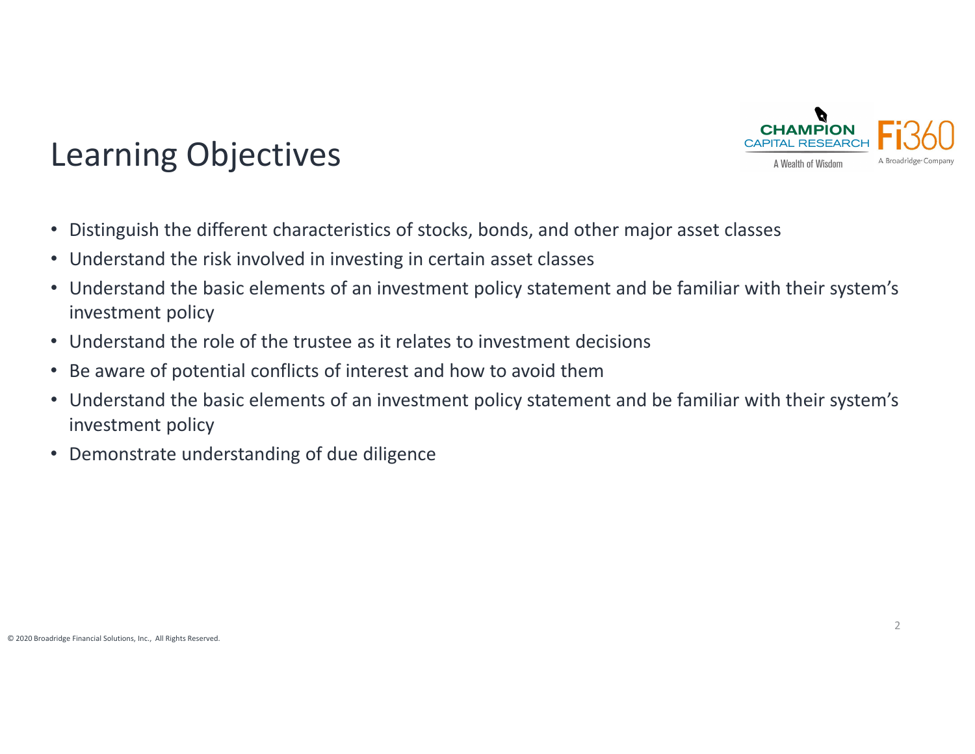

# Learning Objectives

- Distinguish the different characteristics of stocks, bonds, and other major asset classes
- Understand the risk involved in investing in certain asset classes
- Understand the basic elements of an investment policy statement and be familiar with their system's investment policy
- Understand the role of the trustee as it relates to investment decisions
- Be aware of potential conflicts of interest and how to avoid them
- Understand the basic elements of an investment policy statement and be familiar with their system's investment policy
- Demonstrate understanding of due diligence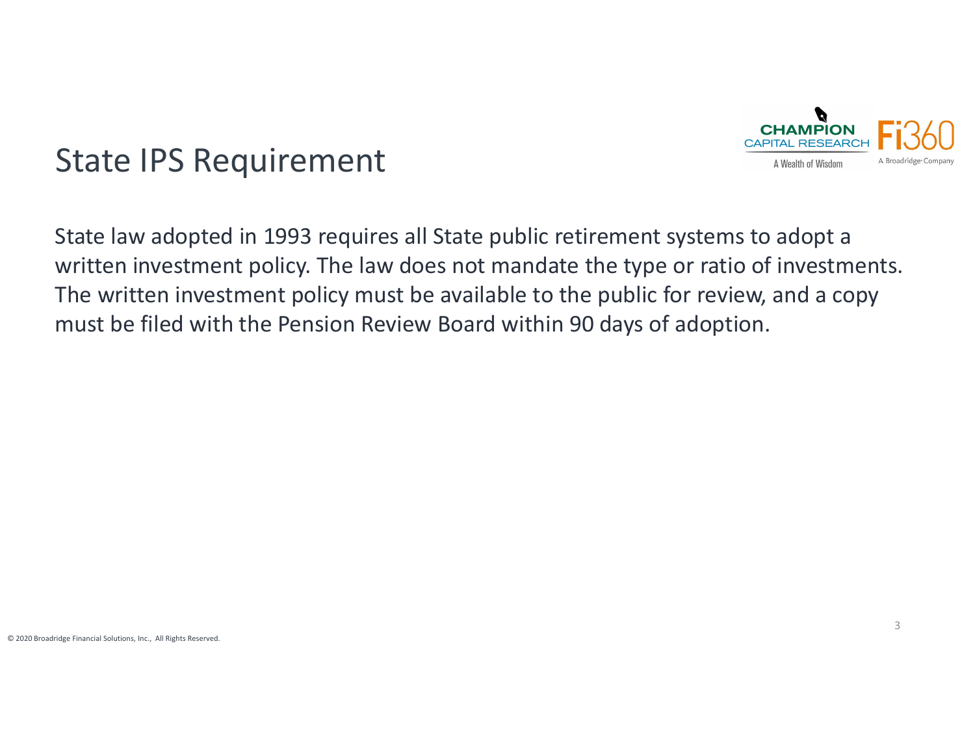

## State IPS Requirement

State law adopted in 1993 requires all State public retirement systems to adopt <sup>a</sup> written investment policy. The law does not mandate the type or ratio of investments. The written investment policy must be available to the public for review, and <sup>a</sup> copy must be filed with the Pension Review Board within 90 days of adoption.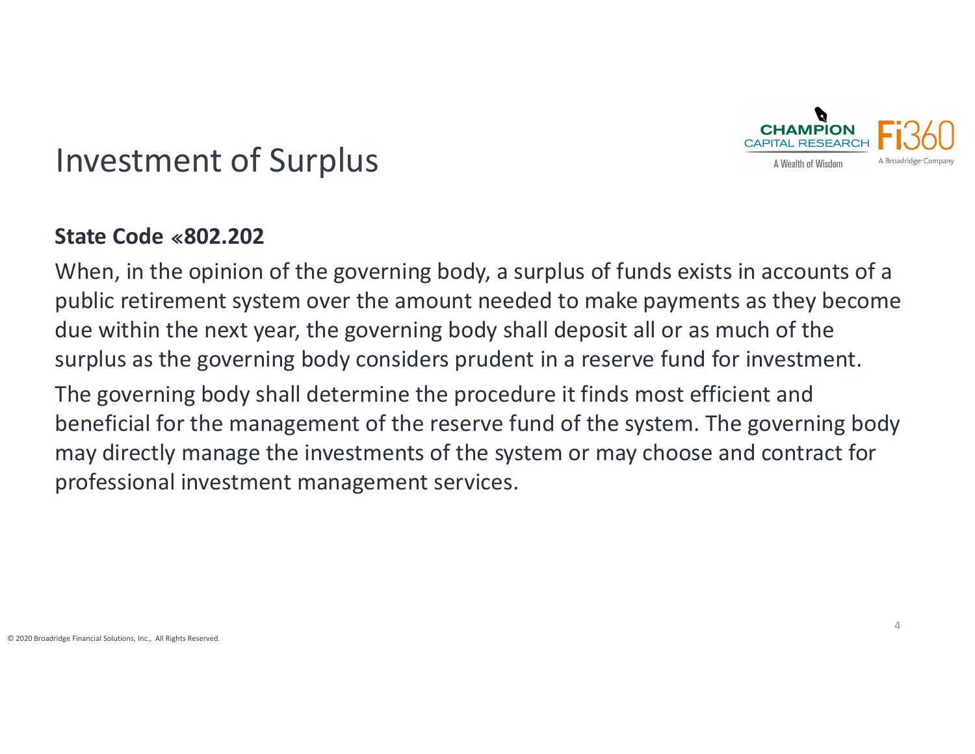

### Investment of Surplus

#### **State Code 802.202**

When, in the opinion of the governing body, <sup>a</sup> surplus of funds exists in accounts of <sup>a</sup> public retirement system over the amount needed to make payments as they become due within the next year, the governing body shall deposit all or as much of the surplus as the governing body considers prudent in <sup>a</sup> reserve fund for investment.

The governing body shall determine the procedure it finds most efficient and beneficial for the management of the reserve fund of the system. The governing body may directly manage the investments of the system or may choose and contract for professional investment management services.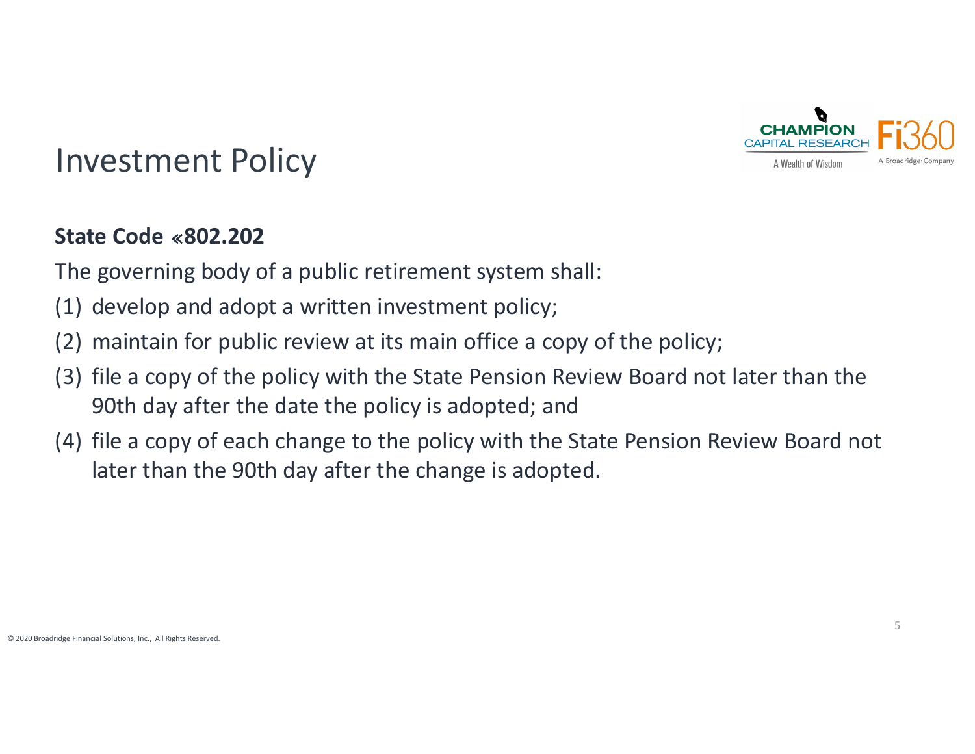

### Investment Policy

#### **State Code 802.202**

The governing body of <sup>a</sup> public retirement system shall:

- (1) develop and adopt <sup>a</sup> written investment policy;
- (2) maintain for public review at its main office <sup>a</sup> copy of the policy;
- (3) file <sup>a</sup> copy of the policy with the State Pension Review Board not later than the 90th day after the date the policy is adopted; and
- (4) file <sup>a</sup> copy of each change to the policy with the State Pension Review Board not later than the 90th day after the change is adopted.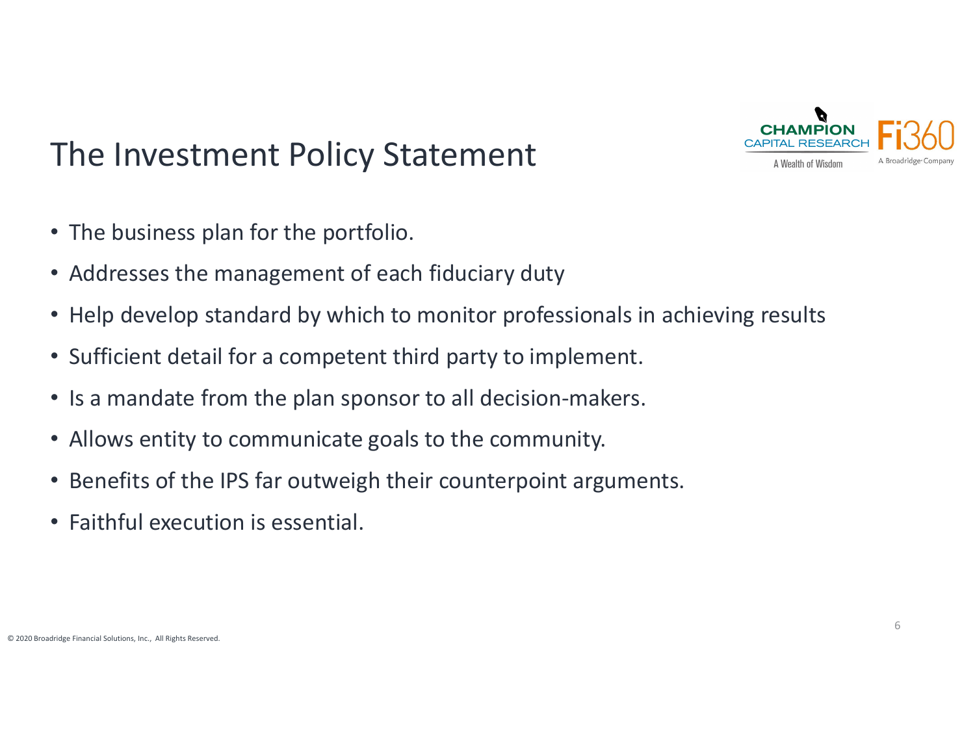

# The Investment Policy Statement

- The business plan for the portfolio.
- Addresses the management of each fiduciary duty
- Help develop standard by which to monitor professionals in achieving results
- Sufficient detail for <sup>a</sup> competent third party to implement.
- Is a mandate from the plan sponsor to all decision‐makers.
- Allows entity to communicate goals to the community.
- Benefits of the IPS far outweigh their counterpoint arguments.
- Faithful execution is essential.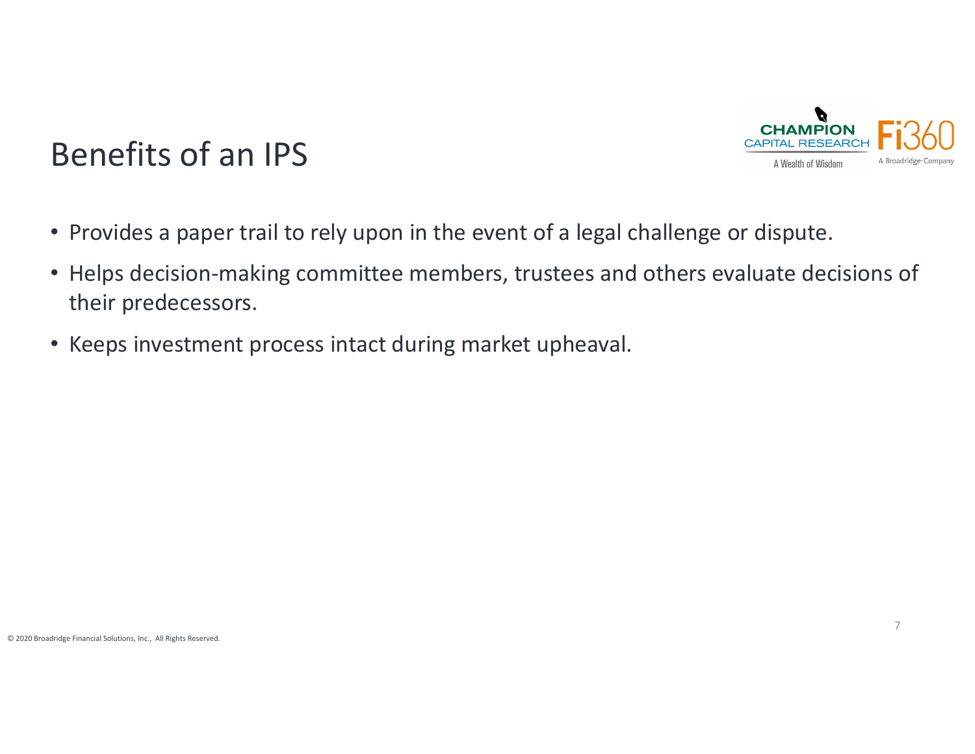

## Benefits of an IPS

- Provides a paper trail to rely upon in the event of <sup>a</sup> legal challenge or dispute.
- Helps decision‐making committee members, trustees and others evaluate decisions of their predecessors.
- Keeps investment process intact during market upheaval.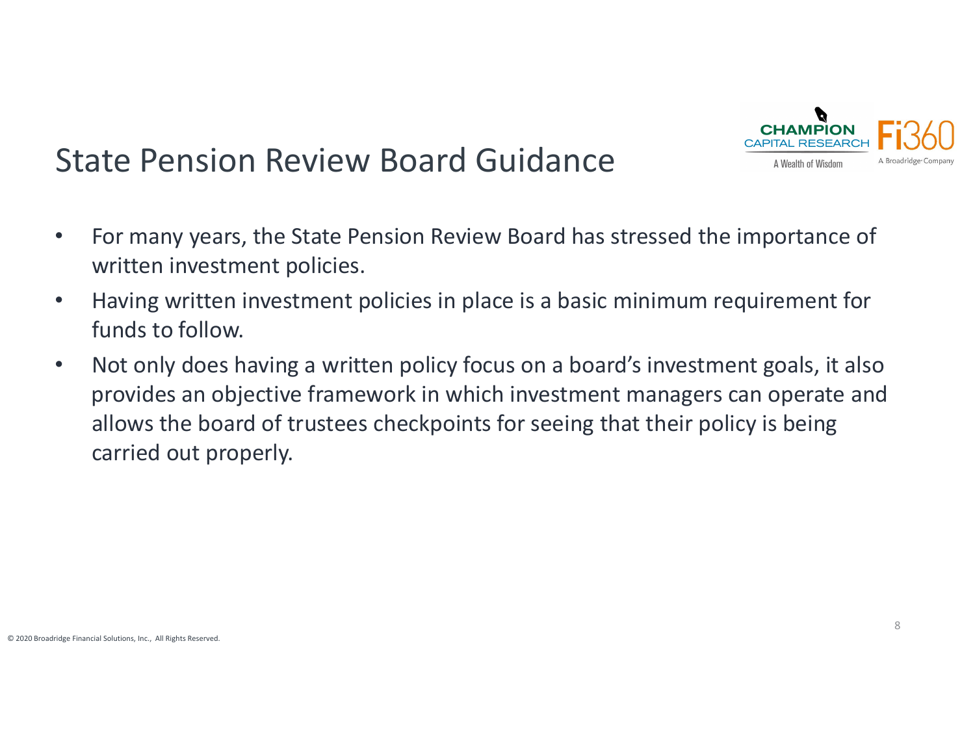

# State Pension Review Board Guidance

- $\bullet$  For many years, the State Pension Review Board has stressed the importance of written investment policies.
- • Having written investment policies in place is <sup>a</sup> basic minimum requirement for funds to follow.
- $\bullet$  Not only does having <sup>a</sup> written policy focus on <sup>a</sup> board's investment goals, it also provides an objective framework in which investment managers can operate and allows the board of trustees checkpoints for seeing that their policy is being carried out properly.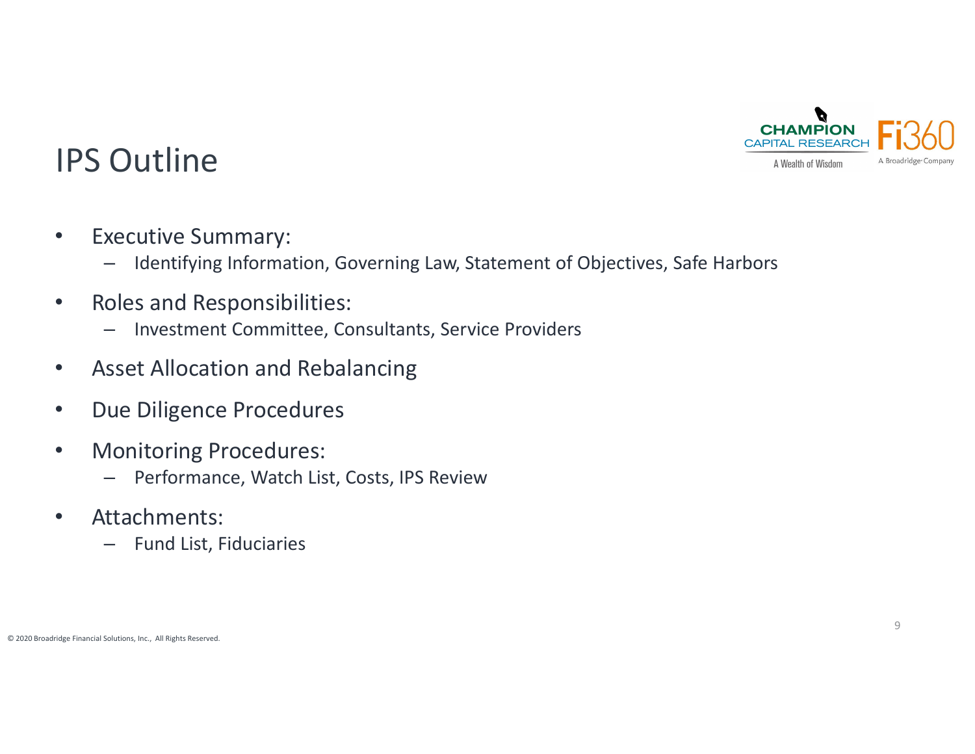

## IPS Outline

- $\bullet$ • Executive Summary:
	- –Identifying Information, Governing Law, Statement of Objectives, Safe Harbors
- $\bullet$ • Roles and Responsibilities:
	- Investment Committee, Consultants, Service Providers
- $\bullet$ Asset Allocation and Rebalancing
- $\bullet$ **•** Due Diligence Procedures
- $\bullet$  Monitoring Procedures:
	- –Performance, Watch List, Costs, IPS Review
- $\bullet$  Attachments:
	- –Fund List, Fiduciaries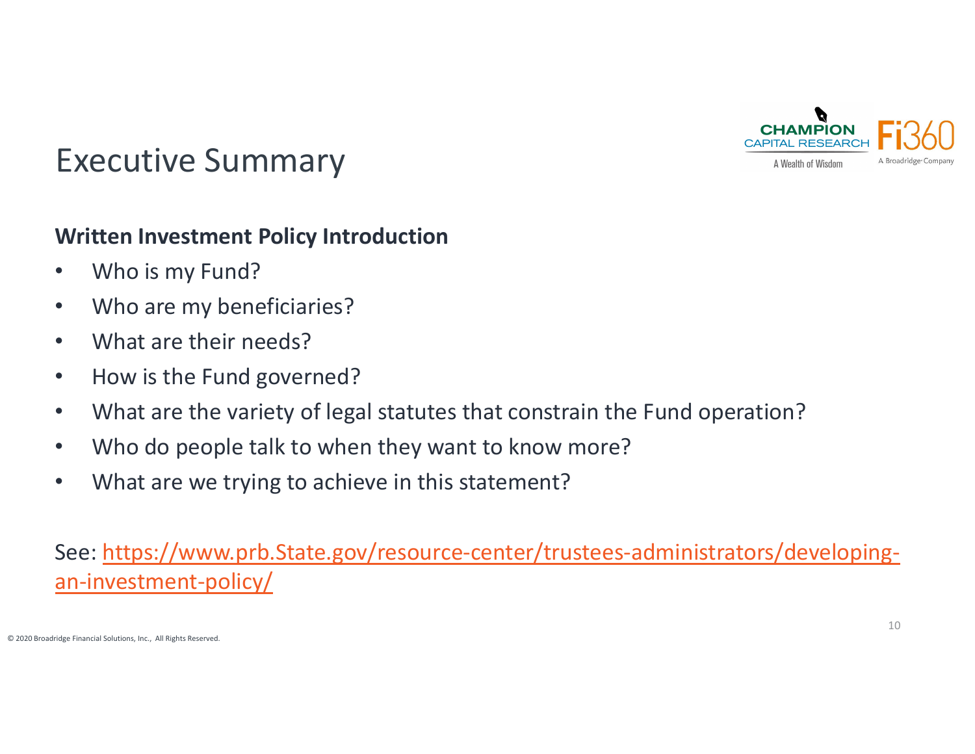

## Executive Summary

#### **Written Investment Policy Introduction**

- $\bullet$ Who is my Fund?
- $\bullet$ Who are my beneficiaries?
- $\bullet$ What are their needs?
- $\bullet$ • How is the Fund governed?
- $\bullet$ What are the variety of legal statutes that constrain the Fund operation?
- $\bullet$ Who do people talk to when they want to know more?
- $\bullet$ What are we trying to achieve in this statement?

See: <u>https://www.prb.State.gov/resource-center/trustees-administrators/developing-</u> an‐investment‐policy/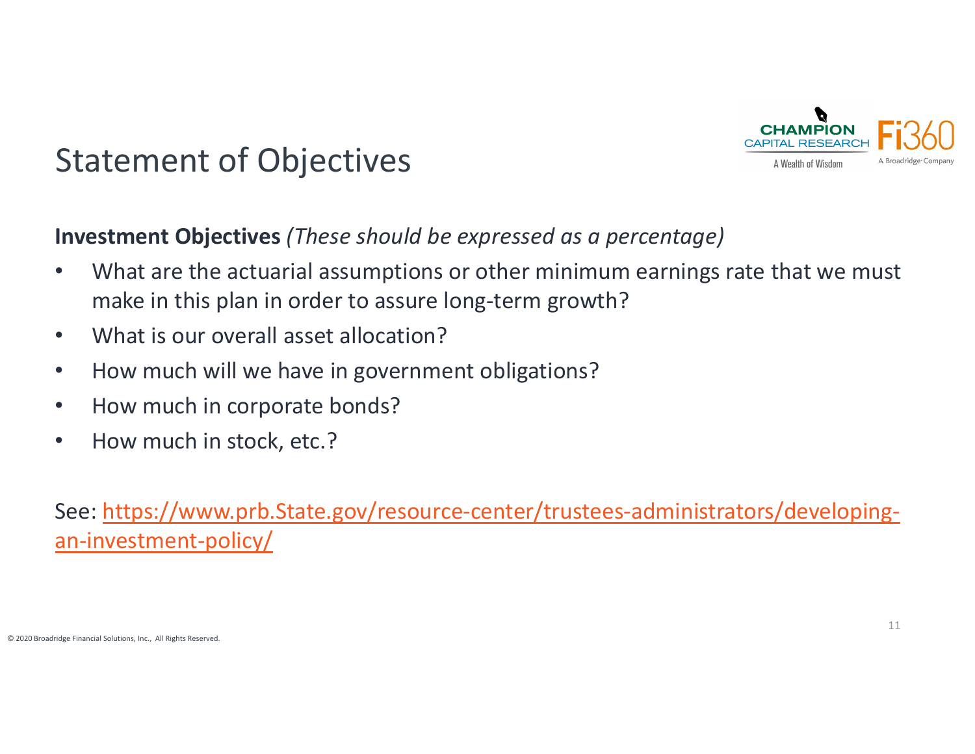

# Statement of Objectives

#### **Investment Objectives** *(These should be expressed as <sup>a</sup> percentage)*

- $\bullet$  What are the actuarial assumptions or other minimum earnings rate that we must make in this plan in order to assure long‐term growth?
- $\bullet$ What is our overall asset allocation?
- $\bullet$ • How much will we have in government obligations?
- $\bullet$ • How much in corporate bonds?
- $\bullet$ • How much in stock, etc.?

See: <u>https://www.prb.State.gov/resource-center/trustees-administrators/developing-</u> an-investment-policy/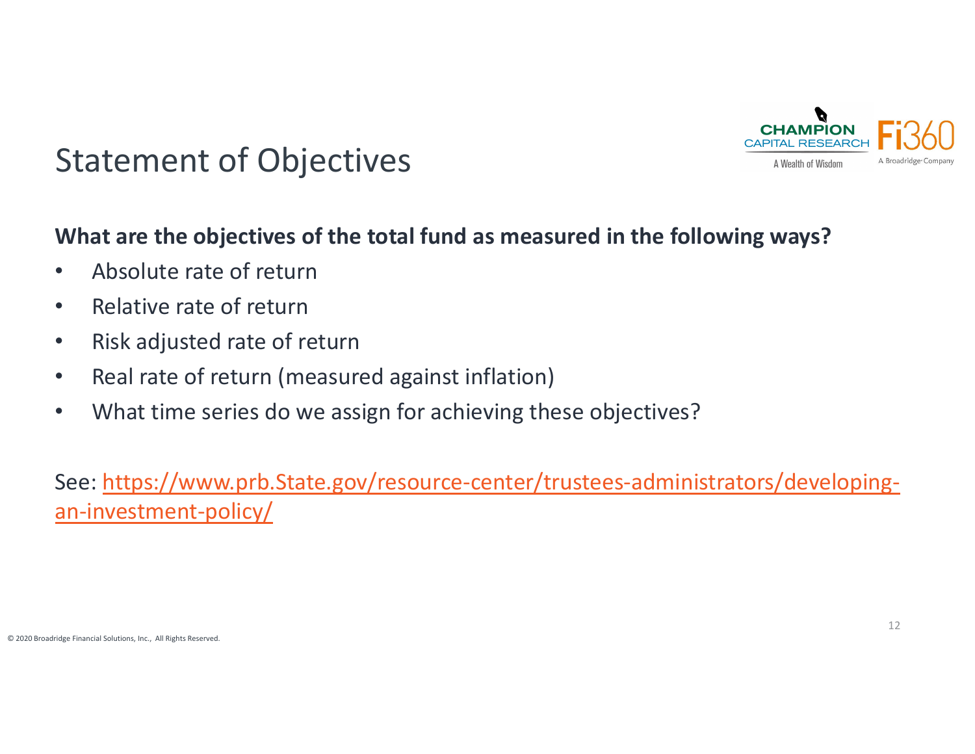

## Statement of Objectives

#### **What are the objectives of the total fund as measured in the following ways?**

- $\bullet$ Absolute rate of return
- $\bullet$ • Relative rate of return
- $\bullet$ • Risk adjusted rate of return
- $\bullet$ • Real rate of return (measured against inflation)
- $\bullet$ What time series do we assign for achieving these objectives?

See: <u>https://www.prb.State.gov/resource-center/trustees-administrators/developing-</u> an-investment-policy/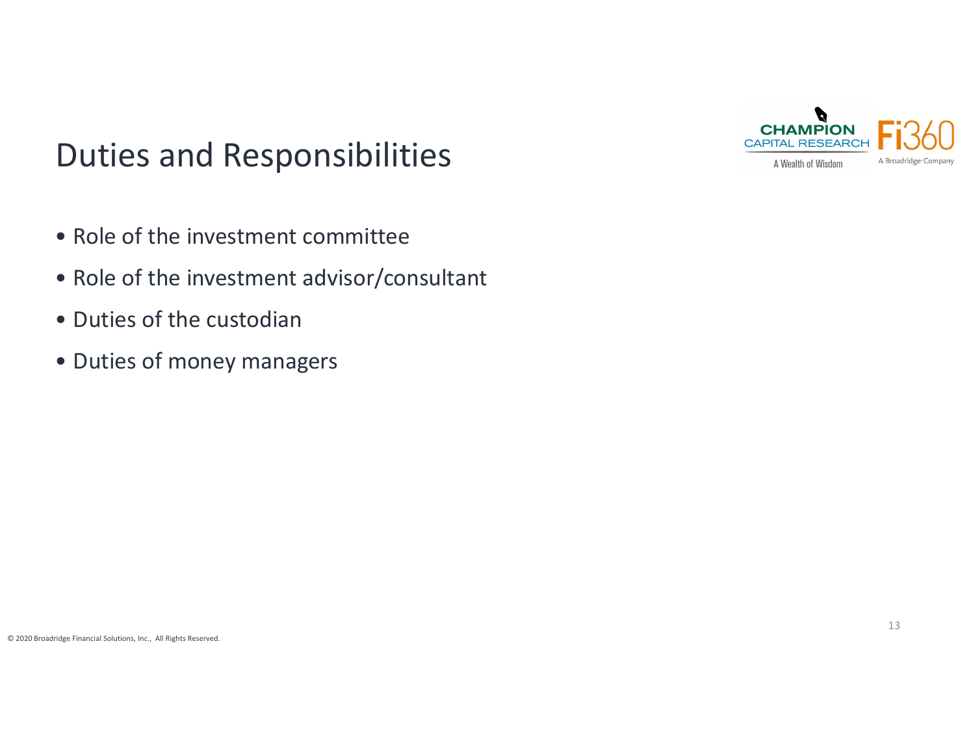# Duties and Responsibilities

- Role of the investment committee
- Role of the investment advisor/consultant
- Duties of the custodian
- Duties of money managers

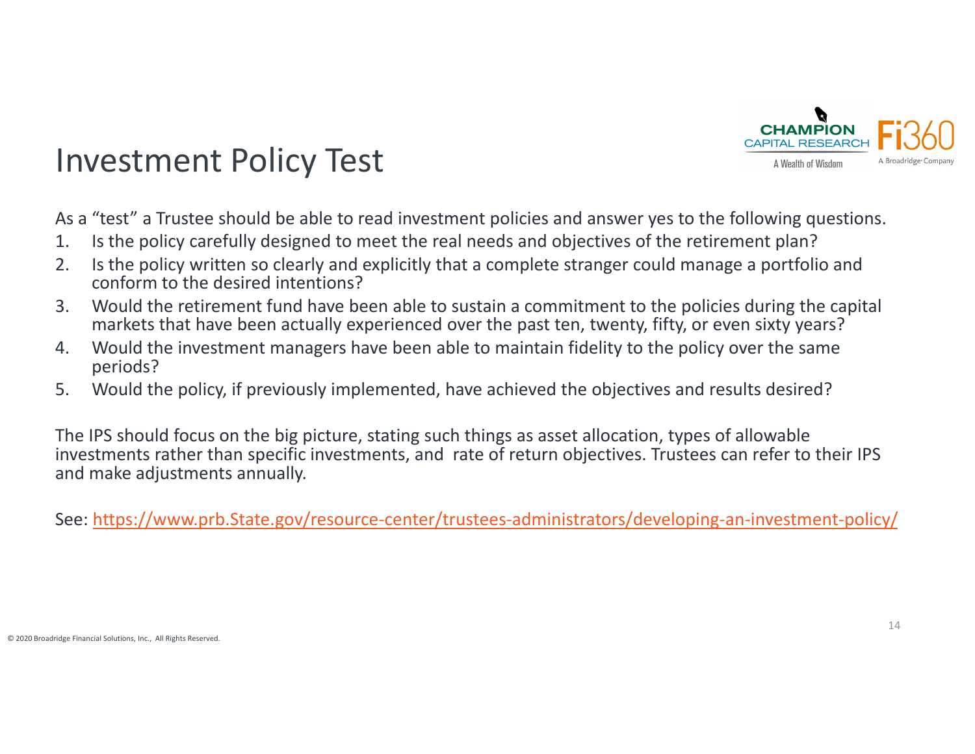

## Investment Policy Test

As a "test" <sup>a</sup> Trustee should be able to read investment policies and answer yes to the following questions.

- 1. Is the policy carefully designed to meet the real needs and objectives of the retirement plan?
- 2. Is the policy written so clearly and explicitly that <sup>a</sup> complete stranger could manage <sup>a</sup> portfolio and conform to the desired intentions?
- 3. Would the retirement fund have been able to sustain <sup>a</sup> commitment to the policies during the capital markets that have been actually experienced over the past ten, twenty, fifty, or even sixty years?
- 4. Would the investment managers have been able to maintain fidelity to the policy over the same periods?
- 5. Would the policy, if previously implemented, have achieved the objectives and results desired?

The IPS should focus on the big picture, stating such things as asset allocation, types of allowable investments rather than specific investments, and rate of return objectives. Trustees can refer to their IPS and make adjustments annually.

See: https://www.prb.State.gov/resource‐center/trustees‐administrators/developing‐an‐investment‐policy/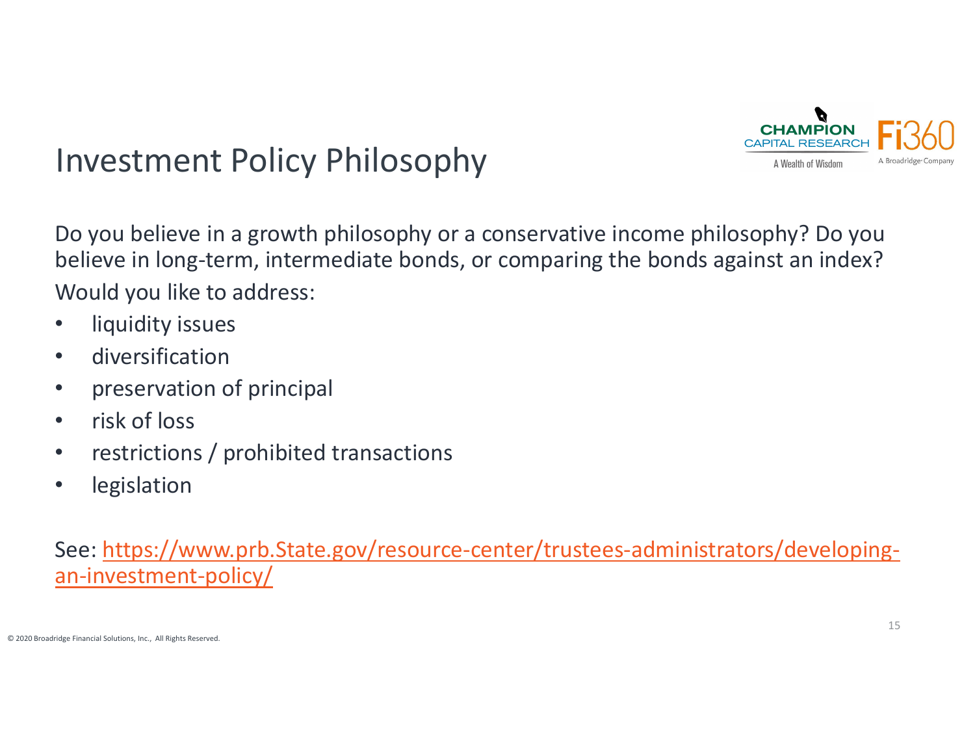

# Investment Policy Philosophy

Do you believe in <sup>a</sup> growth philosophy or <sup>a</sup> conservative income philosophy? Do you believe in long‐term, intermediate bonds, or comparing the bonds against an index? Would you like to address:

- $\bullet$ liquidity issues
- •diversification
- $\bullet$ preservation of principal
- $\bullet$ • risk of loss
- $\bullet$ • restrictions / prohibited transactions
- •legislation

See: <u>https://www.prb.State.gov/resource-center/trustees-administrators/developing-</u> an-investment-policy/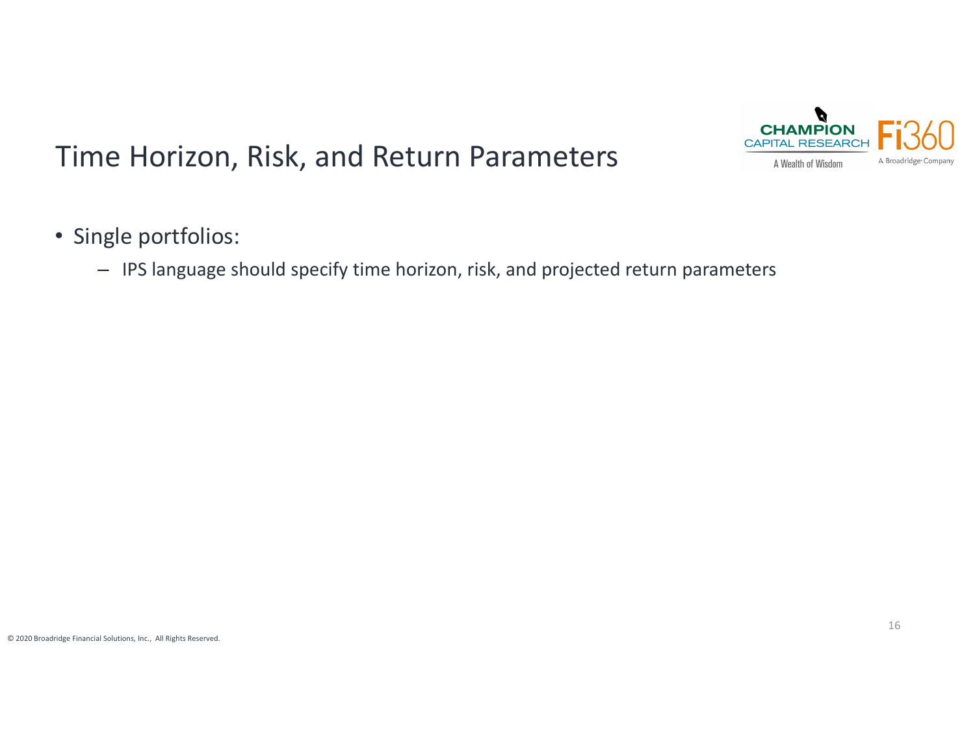

## Time Horizon, Risk, and Return Parameters

- Single portfolios:
	- IPS language should specify time horizon, risk, and projected return parameters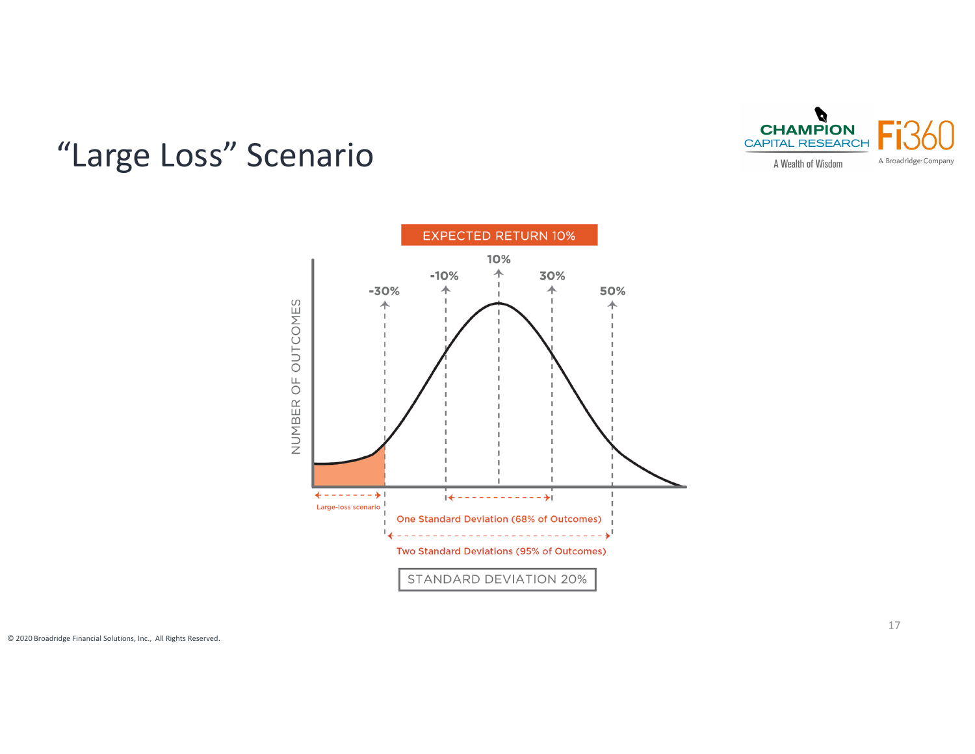

## "Large Loss" Scenario

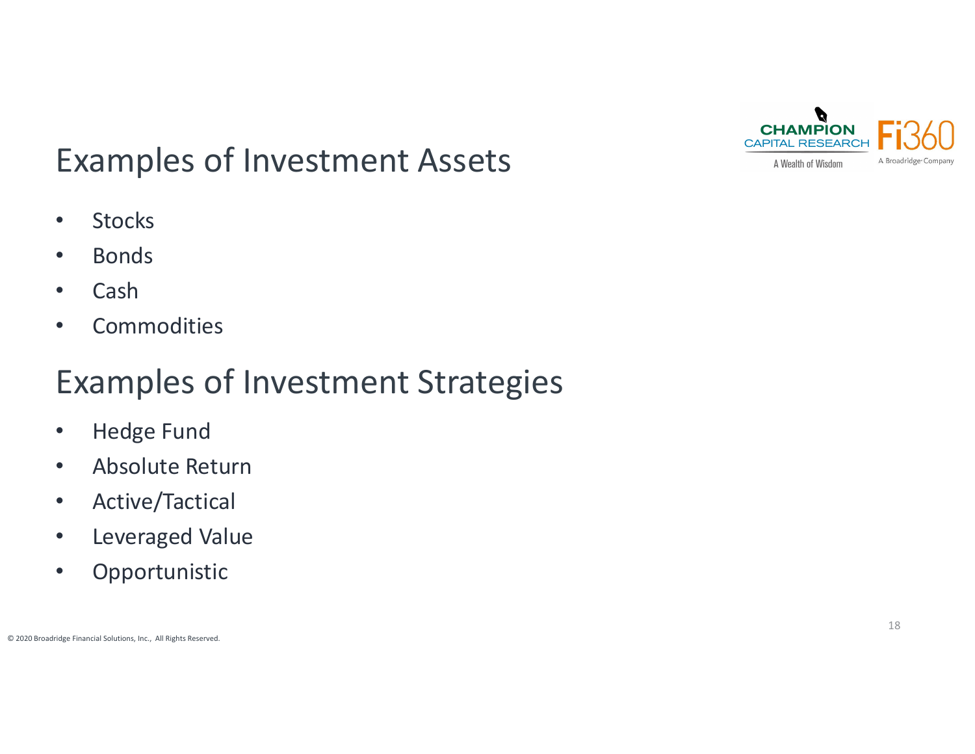

# Examples of Investment Assets

- $\bullet$ **Stocks**
- •Bonds
- •Cash
- $\bullet$ **•** Commodities

# Examples of Investment Strategies

- $\bullet$ Hedge Fund
- $\bullet$ Absolute Return
- $\bullet$ Active/Tactical
- $\bullet$ Leveraged Value
- $\bullet$ Opportunistic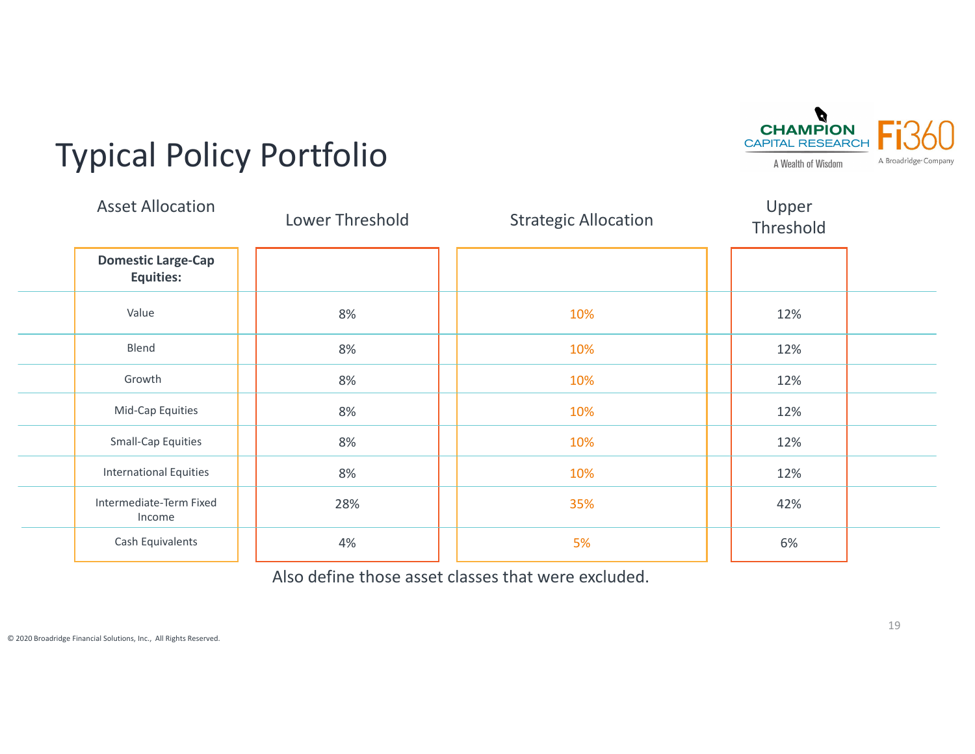

# Typical Policy Portfolio

| <b>Asset Allocation</b>                       | Lower Threshold | <b>Strategic Allocation</b> | Upper<br>Threshold |  |
|-----------------------------------------------|-----------------|-----------------------------|--------------------|--|
| <b>Domestic Large-Cap</b><br><b>Equities:</b> |                 |                             |                    |  |
| Value                                         | 8%              | 10%                         | 12%                |  |
| Blend                                         | 8%              | 10%                         | 12%                |  |
| Growth                                        | 8%              | 10%                         | 12%                |  |
| Mid-Cap Equities                              | 8%              | 10%                         | 12%                |  |
| <b>Small-Cap Equities</b>                     | 8%              | 10%                         | 12%                |  |
| <b>International Equities</b>                 | 8%              | 10%                         | 12%                |  |
| Intermediate-Term Fixed<br>Income             | 28%             | 35%                         | 42%                |  |
| Cash Equivalents                              | 4%              | 5%                          | 6%                 |  |

Also define those asset classes that were excluded.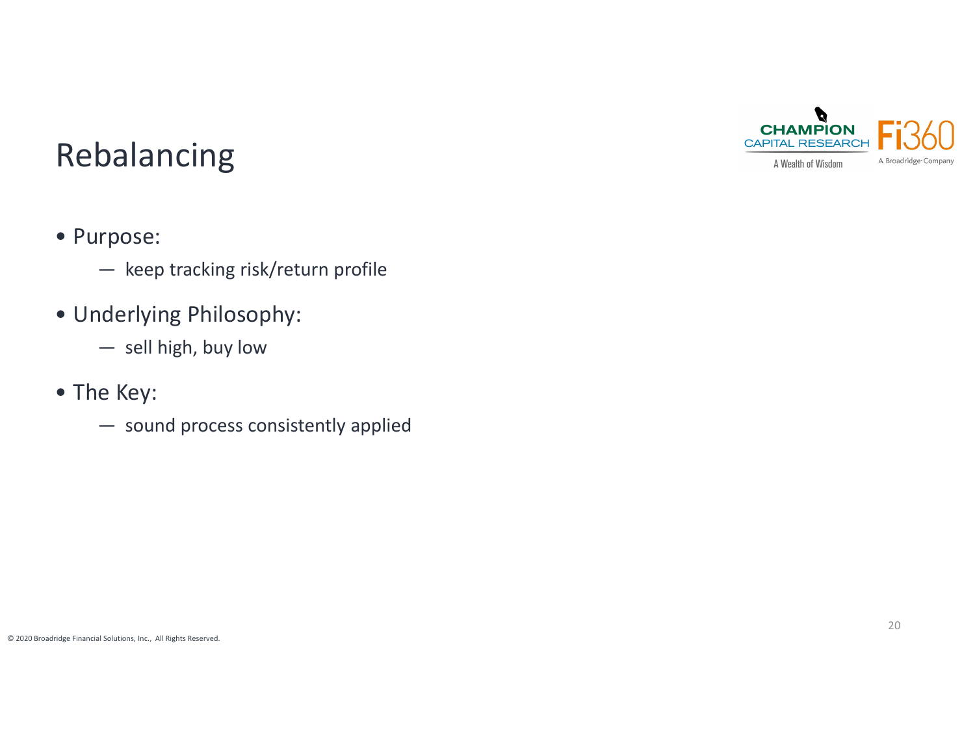

## Rebalancing

- Purpose:
	- keep tracking risk/return profile
- Underlying Philosophy:
	- sell high, buy low
- The Key:
	- sound process consistently applied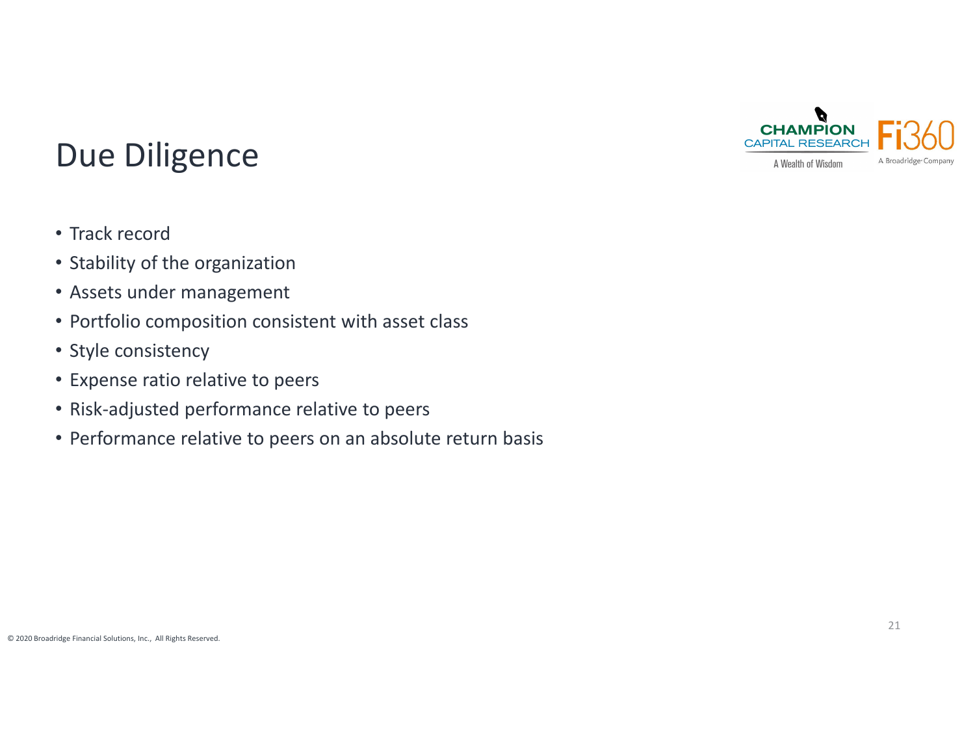

## Due Diligence

- Track record
- Stability of the organization
- Assets under management
- Portfolio composition consistent with asset class
- Style consistency
- Expense ratio relative to peers
- Risk‐adjusted performance relative to peers
- Performance relative to peers on an absolute return basis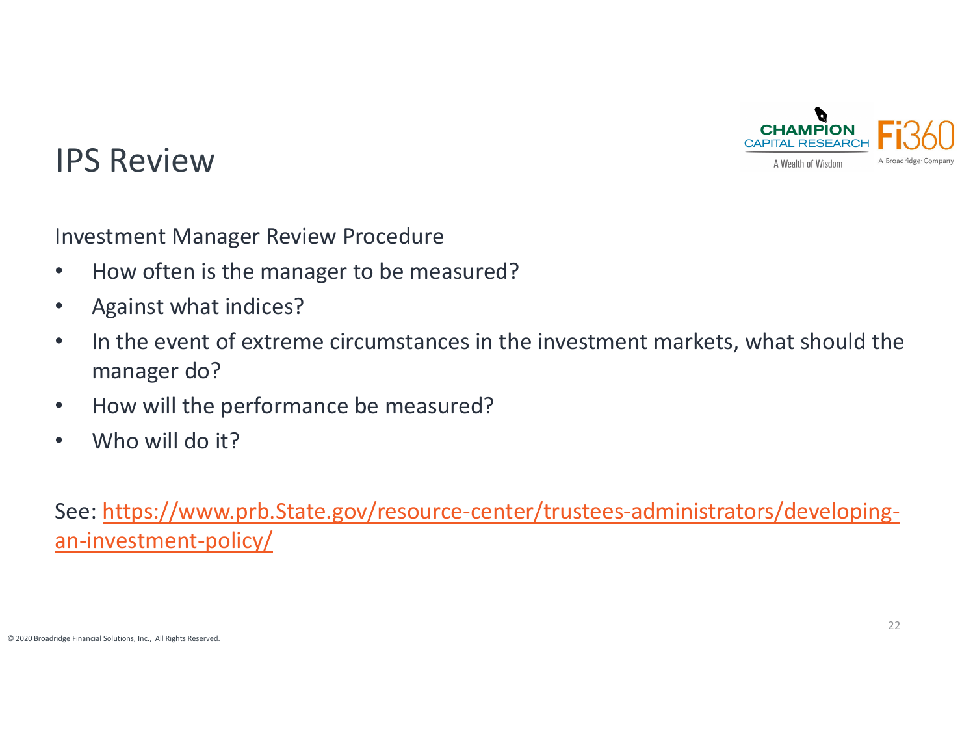

### IPS Review

Investment Manager Review Procedure

- $\bullet$ • How often is the manager to be measured?
- $\bullet$ Against what indices?
- $\bullet$ • In the event of extreme circumstances in the investment markets, what should the manager do?
- $\bullet$ • How will the performance be measured?
- $\bullet$ Who will do it?

See: <u>https://www.prb.State.gov/resource-center/trustees-administrators/developing-</u> an-investment-policy/